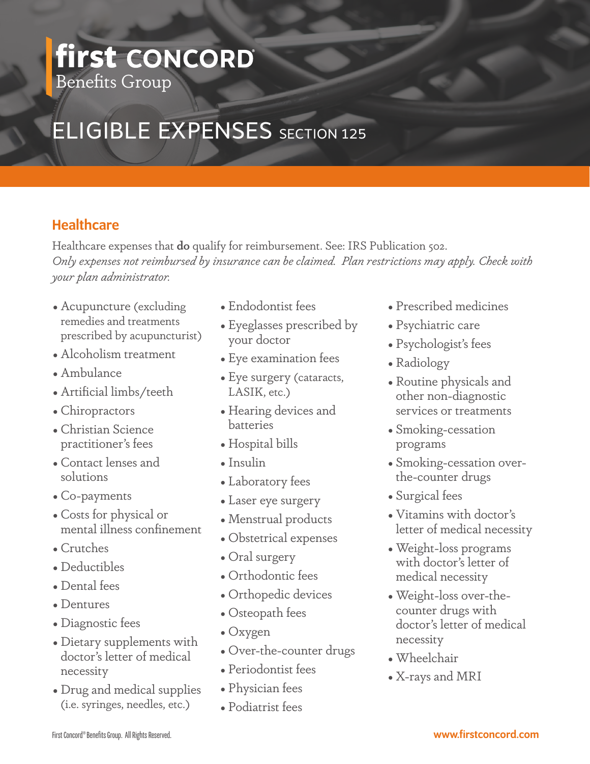## **first** Benefits Group

# **ELIGIBLE EXPENSES** SECTION 125

### **Healthcare**

Healthcare expenses that **do** qualify for reimbursement. See: IRS Publication 502. *Only expenses not reimbursed by insurance can be claimed. Plan restrictions may apply. Check with your plan administrator.* 

- Acupuncture (excluding remedies and treatments prescribed by acupuncturist)
- Alcoholism treatment
- Ambulance
- Artificial limbs/teeth
- Chiropractors
- Christian Science practitioner's fees
- Contact lenses and solutions
- Co-payments
- Costs for physical or mental illness confinement
- Crutches
- Deductibles
- Dental fees
- Dentures
- Diagnostic fees
- Dietary supplements with doctor's letter of medical necessity
- Drug and medical supplies (i.e. syringes, needles, etc.)
- Endodontist fees
- Eyeglasses prescribed by your doctor
- Eye examination fees
- Eye surgery (cataracts, LASIK, etc.)
- Hearing devices and batteries
- Hospital bills
- Insulin
- Laboratory fees
- Laser eye surgery
- Menstrual products
- Obstetrical expenses
- Oral surgery
- Orthodontic fees
- Orthopedic devices
- Osteopath fees
- Oxygen
- Over-the-counter drugs
- Periodontist fees
- Physician fees
- Podiatrist fees
- Prescribed medicines
- Psychiatric care
- Psychologist's fees
- •Radiology
- •Routine physicals and other non-diagnostic services or treatments
- Smoking-cessation programs
- Smoking-cessation overthe-counter drugs
- Surgical fees
- Vitamins with doctor's letter of medical necessity
- Weight-loss programs with doctor's letter of medical necessity
- •Weight-loss over-thecounter drugs with doctor's letter of medical necessity
- •Wheelchair
- X-rays and MRI